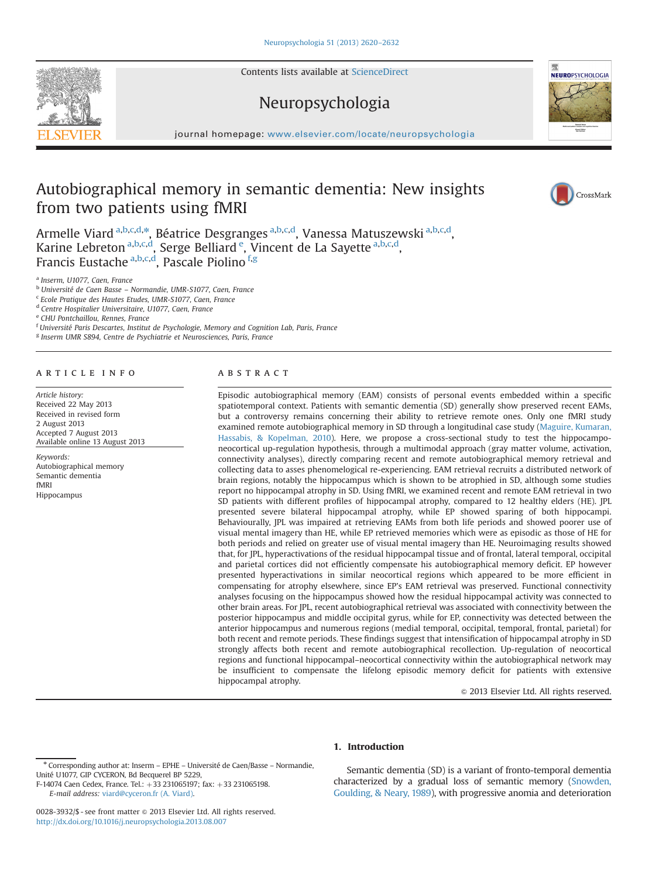Contents lists available at [ScienceDirect](www.sciencedirect.com/science/journal/00283932)

Neuropsychologia



journal homepage: <www.elsevier.com/locate/neuropsychologia>ls.

## Autobiographical memory in semantic dementia: New insights from two patients using fMRI



Armelle Viard <sup>a,b,c,d,\*</sup>, Béatrice Desgranges <sup>a,b,c,d</sup>, Vanessa Matuszewski <sup>a,b,c,d</sup>, Karine Lebreton <sup>a,b,c,d</sup>, Serge Belliard <sup>e</sup>, Vincent de La Sayette <sup>a,b,c,d</sup>, Francis Eustache <sup>a,b,c,d</sup>, Pascale Piolino <sup>f,g</sup>

<sup>a</sup> Inserm, U1077, Caen, France

<sup>b</sup> Université de Caen Basse – Normandie, UMR-S1077, Caen, France

<sup>c</sup> Ecole Pratique des Hautes Etudes, UMR-S1077, Caen, France

<sup>d</sup> Centre Hospitalier Universitaire, U1077, Caen, France

<sup>e</sup> CHU Pontchaillou, Rennes, France

<sup>f</sup> Université Paris Descartes, Institut de Psychologie, Memory and Cognition Lab, Paris, France

<sup>g</sup> Inserm UMR S894, Centre de Psychiatrie et Neurosciences, Paris, France

#### article info

Article history: Received 22 May 2013 Received in revised form 2 August 2013 Accepted 7 August 2013 Available online 13 August 2013

Keywords: Autobiographical memory Semantic dementia fMRI Hippocampus

### **ABSTRACT**

Episodic autobiographical memory (EAM) consists of personal events embedded within a specific spatiotemporal context. Patients with semantic dementia (SD) generally show preserved recent EAMs, but a controversy remains concerning their ability to retrieve remote ones. Only one fMRI study examined remote autobiographical memory in SD through a longitudinal case study (Maguire, Kumaran, Hassabis, & Kopelman, 2010). Here, we propose a cross-sectional study to test the hippocamponeocortical up-regulation hypothesis, through a multimodal approach (gray matter volume, activation, connectivity analyses), directly comparing recent and remote autobiographical memory retrieval and collecting data to asses phenomelogical re-experiencing. EAM retrieval recruits a distributed network of brain regions, notably the hippocampus which is shown to be atrophied in SD, although some studies report no hippocampal atrophy in SD. Using fMRI, we examined recent and remote EAM retrieval in two SD patients with different profiles of hippocampal atrophy, compared to 12 healthy elders (HE). JPL presented severe bilateral hippocampal atrophy, while EP showed sparing of both hippocampi. Behaviourally, JPL was impaired at retrieving EAMs from both life periods and showed poorer use of visual mental imagery than HE, while EP retrieved memories which were as episodic as those of HE for both periods and relied on greater use of visual mental imagery than HE. Neuroimaging results showed that, for JPL, hyperactivations of the residual hippocampal tissue and of frontal, lateral temporal, occipital and parietal cortices did not efficiently compensate his autobiographical memory deficit. EP however presented hyperactivations in similar neocortical regions which appeared to be more efficient in compensating for atrophy elsewhere, since EP's EAM retrieval was preserved. Functional connectivity analyses focusing on the hippocampus showed how the residual hippocampal activity was connected to other brain areas. For JPL, recent autobiographical retrieval was associated with connectivity between the posterior hippocampus and middle occipital gyrus, while for EP, connectivity was detected between the anterior hippocampus and numerous regions (medial temporal, occipital, temporal, frontal, parietal) for both recent and remote periods. These findings suggest that intensification of hippocampal atrophy in SD strongly affects both recent and remote autobiographical recollection. Up-regulation of neocortical regions and functional hippocampal–neocortical connectivity within the autobiographical network may be insufficient to compensate the lifelong episodic memory deficit for patients with extensive hippocampal atrophy.

 $\odot$  2013 Elsevier Ltd. All rights reserved.

#### 1. Introduction

F-14074 Caen Cedex, France. Tel.: +33 231065197; fax: +33 231065198. E-mail address: [viard@cyceron.fr \(A. Viard\)](mailto:viard@cyceron.fr).

Semantic dementia (SD) is a variant of fronto-temporal dementia characterized by a gradual loss of semantic memory (Snowden, Goulding, & Neary, 1989), with progressive anomia and deterioration

<sup>n</sup> Corresponding author at: Inserm – EPHE – Université de Caen/Basse – Normandie, Unité U1077, GIP CYCERON, Bd Becquerel BP 5229,

<sup>0028-3932/\$ -</sup> see front matter  $\circ$  2013 Elsevier Ltd. All rights reserved. <http://dx.doi.org/10.1016/j.neuropsychologia.2013.08.007>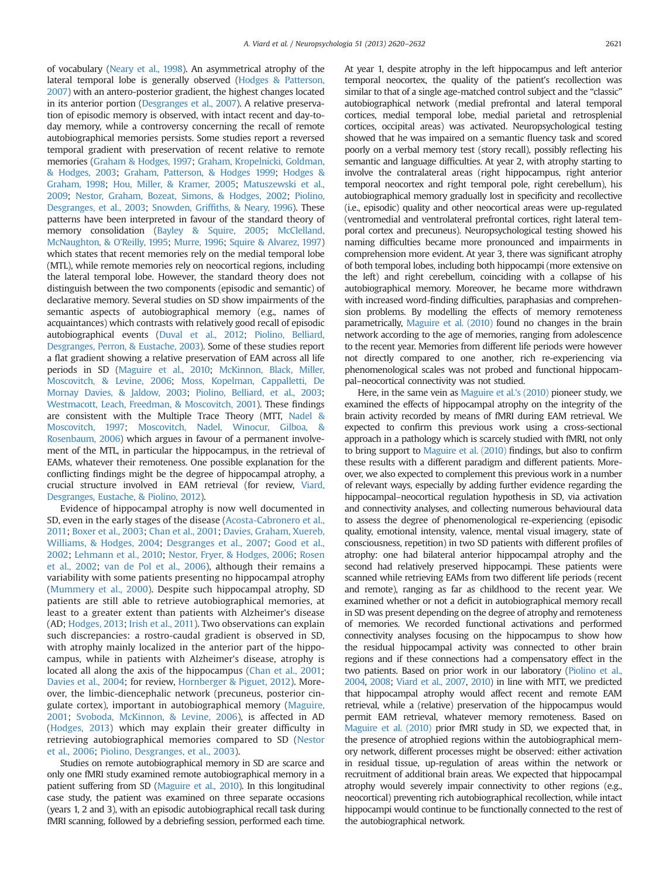of vocabulary (Neary et al., 1998). An asymmetrical atrophy of the lateral temporal lobe is generally observed (Hodges & Patterson, 2007) with an antero-posterior gradient, the highest changes located in its anterior portion (Desgranges et al., 2007). A relative preservation of episodic memory is observed, with intact recent and day-today memory, while a controversy concerning the recall of remote autobiographical memories persists. Some studies report a reversed temporal gradient with preservation of recent relative to remote memories (Graham & Hodges, 1997; Graham, Kropelnicki, Goldman, & Hodges, 2003; Graham, Patterson, & Hodges 1999; Hodges & Graham, 1998; Hou, Miller, & Kramer, 2005; Matuszewski et al., 2009; Nestor, Graham, Bozeat, Simons, & Hodges, 2002; Piolino, Desgranges, et al., 2003; Snowden, Griffiths, & Neary, 1996). These patterns have been interpreted in favour of the standard theory of memory consolidation (Bayley & Squire, 2005; McClelland, McNaughton, & O'Reilly, 1995; Murre, 1996; Squire & Alvarez, 1997) which states that recent memories rely on the medial temporal lobe (MTL), while remote memories rely on neocortical regions, including the lateral temporal lobe. However, the standard theory does not distinguish between the two components (episodic and semantic) of declarative memory. Several studies on SD show impairments of the semantic aspects of autobiographical memory (e.g., names of acquaintances) which contrasts with relatively good recall of episodic autobiographical events (Duval et al., 2012; Piolino, Belliard, Desgranges, Perron, & Eustache, 2003). Some of these studies report a flat gradient showing a relative preservation of EAM across all life periods in SD (Maguire et al., 2010; McKinnon, Black, Miller, Moscovitch, & Levine, 2006; Moss, Kopelman, Cappalletti, De Mornay Davies, & Jaldow, 2003; Piolino, Belliard, et al., 2003; Westmacott, Leach, Freedman, & Moscovitch, 2001). These findings are consistent with the Multiple Trace Theory (MTT, Nadel & Moscovitch, 1997; Moscovitch, Nadel, Winocur, Gilboa, & Rosenbaum, 2006) which argues in favour of a permanent involvement of the MTL, in particular the hippocampus, in the retrieval of EAMs, whatever their remoteness. One possible explanation for the conflicting findings might be the degree of hippocampal atrophy, a crucial structure involved in EAM retrieval (for review, Viard, Desgranges, Eustache, & Piolino, 2012).

Evidence of hippocampal atrophy is now well documented in SD, even in the early stages of the disease (Acosta-Cabronero et al., 2011; Boxer et al., 2003; Chan et al., 2001; Davies, Graham, Xuereb, Williams, & Hodges, 2004; Desgranges et al., 2007; Good et al., 2002; Lehmann et al., 2010; Nestor, Fryer, & Hodges, 2006; Rosen et al., 2002; van de Pol et al., 2006), although their remains a variability with some patients presenting no hippocampal atrophy (Mummery et al., 2000). Despite such hippocampal atrophy, SD patients are still able to retrieve autobiographical memories, at least to a greater extent than patients with Alzheimer's disease (AD; Hodges, 2013; Irish et al., 2011). Two observations can explain such discrepancies: a rostro-caudal gradient is observed in SD, with atrophy mainly localized in the anterior part of the hippocampus, while in patients with Alzheimer's disease, atrophy is located all along the axis of the hippocampus (Chan et al., 2001; Davies et al., 2004; for review, Hornberger & Piguet, 2012). Moreover, the limbic-diencephalic network (precuneus, posterior cingulate cortex), important in autobiographical memory (Maguire, 2001; Svoboda, McKinnon, & Levine, 2006), is affected in AD (Hodges, 2013) which may explain their greater difficulty in retrieving autobiographical memories compared to SD (Nestor et al., 2006; Piolino, Desgranges, et al., 2003).

Studies on remote autobiographical memory in SD are scarce and only one fMRI study examined remote autobiographical memory in a patient suffering from SD (Maguire et al., 2010). In this longitudinal case study, the patient was examined on three separate occasions (years 1, 2 and 3), with an episodic autobiographical recall task during fMRI scanning, followed by a debriefing session, performed each time. At year 1, despite atrophy in the left hippocampus and left anterior temporal neocortex, the quality of the patient's recollection was similar to that of a single age-matched control subject and the "classic" autobiographical network (medial prefrontal and lateral temporal cortices, medial temporal lobe, medial parietal and retrosplenial cortices, occipital areas) was activated. Neuropsychological testing showed that he was impaired on a semantic fluency task and scored poorly on a verbal memory test (story recall), possibly reflecting his semantic and language difficulties. At year 2, with atrophy starting to involve the contralateral areas (right hippocampus, right anterior temporal neocortex and right temporal pole, right cerebellum), his autobiographical memory gradually lost in specificity and recollective (i.e., episodic) quality and other neocortical areas were up-regulated (ventromedial and ventrolateral prefrontal cortices, right lateral temporal cortex and precuneus). Neuropsychological testing showed his naming difficulties became more pronounced and impairments in comprehension more evident. At year 3, there was significant atrophy of both temporal lobes, including both hippocampi (more extensive on the left) and right cerebellum, coinciding with a collapse of his autobiographical memory. Moreover, he became more withdrawn with increased word-finding difficulties, paraphasias and comprehension problems. By modelling the effects of memory remoteness parametrically, Maguire et al. (2010) found no changes in the brain network according to the age of memories, ranging from adolescence to the recent year. Memories from different life periods were however not directly compared to one another, rich re-experiencing via phenomenological scales was not probed and functional hippocampal–neocortical connectivity was not studied.

Here, in the same vein as Maguire et al.'s (2010) pioneer study, we examined the effects of hippocampal atrophy on the integrity of the brain activity recorded by means of fMRI during EAM retrieval. We expected to confirm this previous work using a cross-sectional approach in a pathology which is scarcely studied with fMRI, not only to bring support to Maguire et al. (2010) findings, but also to confirm these results with a different paradigm and different patients. Moreover, we also expected to complement this previous work in a number of relevant ways, especially by adding further evidence regarding the hippocampal–neocortical regulation hypothesis in SD, via activation and connectivity analyses, and collecting numerous behavioural data to assess the degree of phenomenological re-experiencing (episodic quality, emotional intensity, valence, mental visual imagery, state of consciousness, repetition) in two SD patients with different profiles of atrophy: one had bilateral anterior hippocampal atrophy and the second had relatively preserved hippocampi. These patients were scanned while retrieving EAMs from two different life periods (recent and remote), ranging as far as childhood to the recent year. We examined whether or not a deficit in autobiographical memory recall in SD was present depending on the degree of atrophy and remoteness of memories. We recorded functional activations and performed connectivity analyses focusing on the hippocampus to show how the residual hippocampal activity was connected to other brain regions and if these connections had a compensatory effect in the two patients. Based on prior work in our laboratory (Piolino et al., 2004, 2008; Viard et al., 2007, 2010) in line with MTT, we predicted that hippocampal atrophy would affect recent and remote EAM retrieval, while a (relative) preservation of the hippocampus would permit EAM retrieval, whatever memory remoteness. Based on Maguire et al. (2010) prior fMRI study in SD, we expected that, in the presence of atrophied regions within the autobiographical memory network, different processes might be observed: either activation in residual tissue, up-regulation of areas within the network or recruitment of additional brain areas. We expected that hippocampal atrophy would severely impair connectivity to other regions (e.g., neocortical) preventing rich autobiographical recollection, while intact hippocampi would continue to be functionally connected to the rest of the autobiographical network.